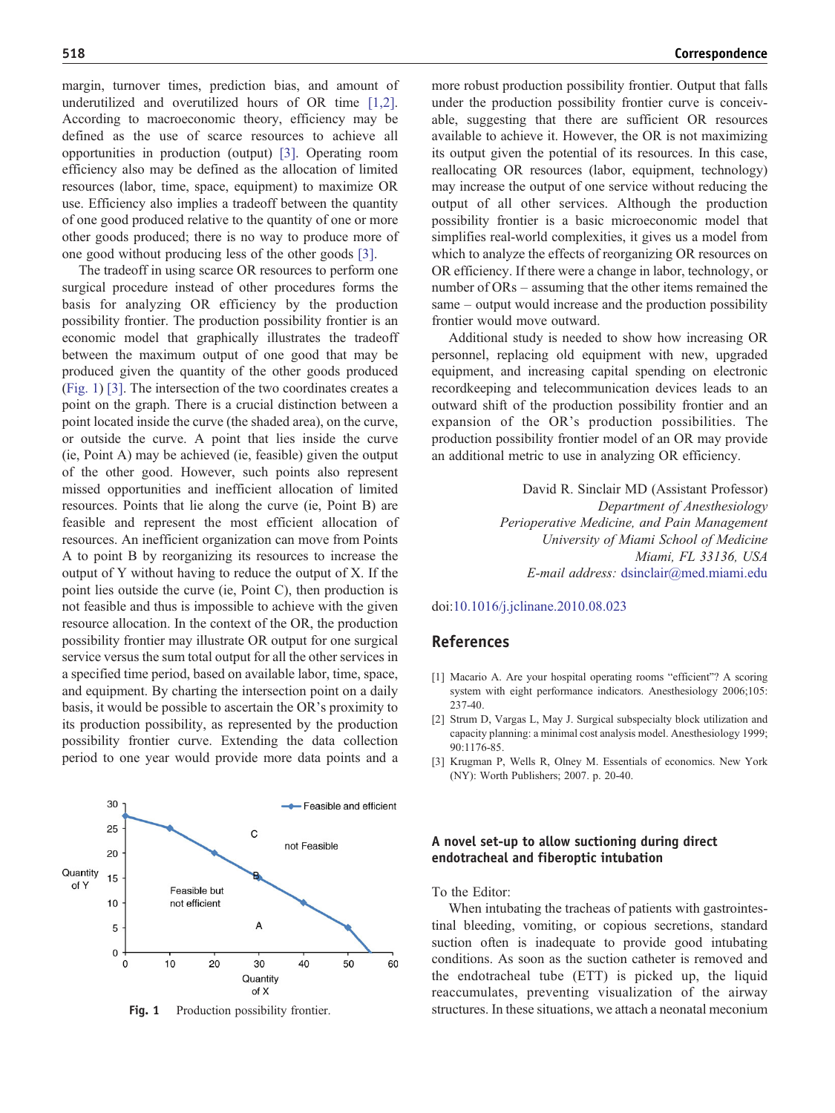margin, turnover times, prediction bias, and amount of underutilized and overutilized hours of OR time [1,2]. According to macroeconomic theory, efficiency may be defined as the use of scarce resources to achieve all opportunities in production (output) [3]. Operating room efficiency also may be defined as the allocation of limited resources (labor, time, space, equipment) to maximize OR use. Efficiency also implies a tradeoff between the quantity of one good produced relative to the quantity of one or more other goods produced; there is no way to produce more of one good without producing less of the other goods [3].

The tradeoff in using scarce OR resources to perform one surgical procedure instead of other procedures forms the basis for analyzing OR efficiency by the production possibility frontier. The production possibility frontier is an economic model that graphically illustrates the tradeoff between the maximum output of one good that may be produced given the quantity of the other goods produced (Fig. 1) [3]. The intersection of the two coordinates creates a point on the graph. There is a crucial distinction between a point located inside the curve (the shaded area), on the curve, or outside the curve. A point that lies inside the curve (ie, Point A) may be achieved (ie, feasible) given the output of the other good. However, such points also represent missed opportunities and inefficient allocation of limited resources. Points that lie along the curve (ie, Point B) are feasible and represent the most efficient allocation of resources. An inefficient organization can move from Points A to point B by reorganizing its resources to increase the output of Y without having to reduce the output of X. If the point lies outside the curve (ie, Point C), then production is not feasible and thus is impossible to achieve with the given resource allocation. In the context of the OR, the production possibility frontier may illustrate OR output for one surgical service versus the sum total output for all the other services in a specified time period, based on available labor, time, space, and equipment. By charting the intersection point on a daily basis, it would be possible to ascertain the OR's proximity to its production possibility, as represented by the production possibility frontier curve. Extending the data collection period to one year would provide more data points and a



more robust production possibility frontier. Output that falls under the production possibility frontier curve is conceivable, suggesting that there are sufficient OR resources available to achieve it. However, the OR is not maximizing its output given the potential of its resources. In this case, reallocating OR resources (labor, equipment, technology) may increase the output of one service without reducing the output of all other services. Although the production possibility frontier is a basic microeconomic model that simplifies real-world complexities, it gives us a model from which to analyze the effects of reorganizing OR resources on OR efficiency. If there were a change in labor, technology, or number of ORs – assuming that the other items remained the same – output would increase and the production possibility frontier would move outward.

Additional study is needed to show how increasing OR personnel, replacing old equipment with new, upgraded equipment, and increasing capital spending on electronic recordkeeping and telecommunication devices leads to an outward shift of the production possibility frontier and an expansion of the OR's production possibilities. The production possibility frontier model of an OR may provide an additional metric to use in analyzing OR efficiency.

> David R. Sinclair MD (Assistant Professor) Department of Anesthesiology Perioperative Medicine, and Pain Management University of Miami School of Medicine Miami, FL 33136, USA E-mail address: [dsinclair@med.miami.edu](mailto:dsinclair@med.miami.edu)

## doi[:10.1016/j.jclinane.2010.08.023](http://dx.doi.org/10.1016/j.jclinane.2010.08.023)

## References

- [1] Macario A. Are your hospital operating rooms "efficient"? A scoring system with eight performance indicators. Anesthesiology 2006;105: 237-40.
- [2] Strum D, Vargas L, May J. Surgical subspecialty block utilization and capacity planning: a minimal cost analysis model. Anesthesiology 1999; 90:1176-85.
- [3] Krugman P, Wells R, Olney M. Essentials of economics. New York (NY): Worth Publishers; 2007. p. 20-40.

## A novel set-up to allow suctioning during direct endotracheal and fiberoptic intubation

To the Editor:

When intubating the tracheas of patients with gastrointestinal bleeding, vomiting, or copious secretions, standard suction often is inadequate to provide good intubating conditions. As soon as the suction catheter is removed and the endotracheal tube (ETT) is picked up, the liquid reaccumulates, preventing visualization of the airway Fig. 1 Production possibility frontier. structures. In these situations, we attach a neonatal meconium